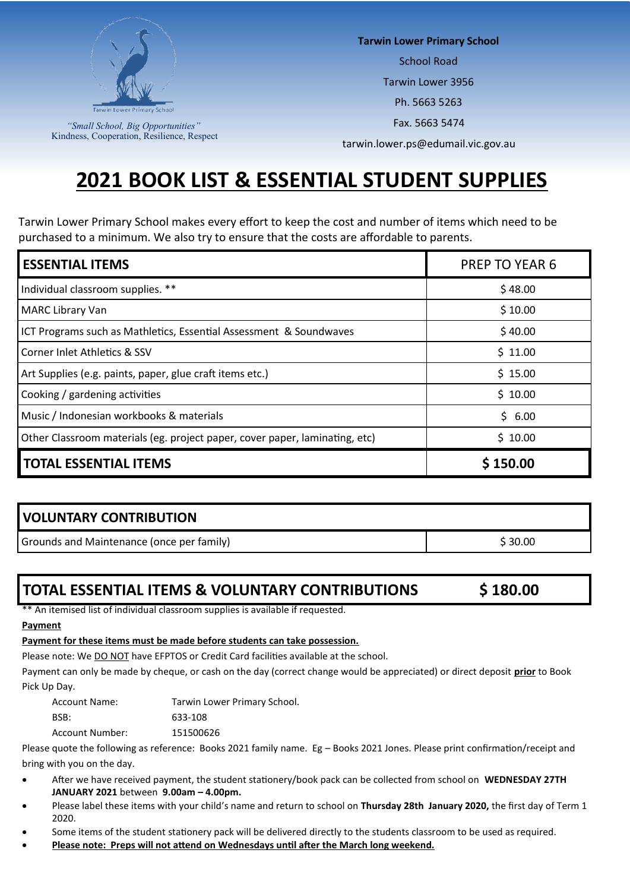

*"Small School, Big Opportunities"* Kindness, Cooperation, Resilience, Respect **Tarwin Lower Primary School**

School Road

Tarwin Lower 3956

Ph. 5663 5263

Fax. 5663 5474

tarwin.lower.ps@edumail.vic.gov.au

# **2021 BOOK LIST & ESSENTIAL STUDENT SUPPLIES**

Tarwin Lower Primary School makes every effort to keep the cost and number of items which need to be purchased to a minimum. We also try to ensure that the costs are affordable to parents.

| <b>ESSENTIAL ITEMS</b>                                                      | <b>PREP TO YEAR 6</b> |
|-----------------------------------------------------------------------------|-----------------------|
| Individual classroom supplies. **                                           | \$48.00               |
| <b>MARC Library Van</b>                                                     | \$10.00               |
| ICT Programs such as Mathletics, Essential Assessment & Soundwaves          | \$40.00               |
| Corner Inlet Athletics & SSV                                                | \$11.00               |
| Art Supplies (e.g. paints, paper, glue craft items etc.)                    | \$15.00               |
| Cooking / gardening activities                                              | \$10.00               |
| Music / Indonesian workbooks & materials                                    | \$6.00                |
| Other Classroom materials (eg. project paper, cover paper, laminating, etc) | \$10.00               |
| <b>TOTAL ESSENTIAL ITEMS</b>                                                | \$150.00              |

# **VOLUNTARY CONTRIBUTION**

Grounds and Maintenance (once per family) **\$20.00** S 30.00

# **TOTAL ESSENTIAL ITEMS & VOLUNTARY CONTRIBUTIONS \$ 180.00**

\*\* An itemised list of individual classroom supplies is available if requested.

#### **Payment**

#### **Payment for these items must be made before students can take possession.**

Please note: We DO NOT have EFPTOS or Credit Card facilities available at the school.

Payment can only be made by cheque, or cash on the day (correct change would be appreciated) or direct deposit **prior** to Book Pick Up Day.

Account Name: Tarwin Lower Primary School. BSB: 633-108 Account Number: 151500626

Please quote the following as reference: Books 2021 family name. Eg – Books 2021 Jones. Please print confirmation/receipt and bring with you on the day.

- After we have received payment, the student stationery/book pack can be collected from school on **WEDNESDAY 27TH JANUARY 2021** between **9.00am – 4.00pm.**
- Please label these items with your child's name and return to school on **Thursday 28th January 2020,** the first day of Term 1 2020.
- Some items of the student stationery pack will be delivered directly to the students classroom to be used as required.
- **Please note: Preps will not attend on Wednesdays until after the March long weekend.**